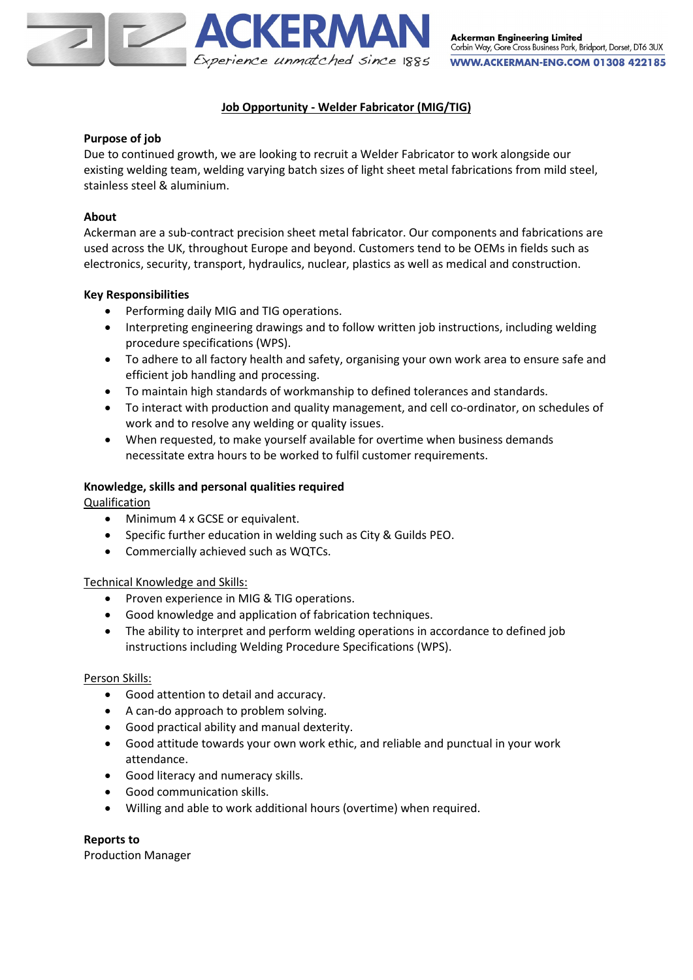

# **Job Opportunity - Welder Fabricator (MIG/TIG)**

## **Purpose of job**

Due to continued growth, we are looking to recruit a Welder Fabricator to work alongside our existing welding team, welding varying batch sizes of light sheet metal fabrications from mild steel, stainless steel & aluminium.

# **About**

Ackerman are a sub-contract precision sheet metal fabricator. Our components and fabrications are used across the UK, throughout Europe and beyond. Customers tend to be OEMs in fields such as electronics, security, transport, hydraulics, nuclear, plastics as well as medical and construction.

# **Key Responsibilities**

- Performing daily MIG and TIG operations.
- Interpreting engineering drawings and to follow written job instructions, including welding procedure specifications (WPS).
- To adhere to all factory health and safety, organising your own work area to ensure safe and efficient job handling and processing.
- To maintain high standards of workmanship to defined tolerances and standards.
- To interact with production and quality management, and cell co-ordinator, on schedules of work and to resolve any welding or quality issues.
- When requested, to make yourself available for overtime when business demands necessitate extra hours to be worked to fulfil customer requirements.

## **Knowledge, skills and personal qualities required**

Qualification

- Minimum 4 x GCSE or equivalent.
- Specific further education in welding such as City & Guilds PEO.
- Commercially achieved such as WQTCs.

## Technical Knowledge and Skills:

- Proven experience in MIG & TIG operations.
- Good knowledge and application of fabrication techniques.
- The ability to interpret and perform welding operations in accordance to defined job instructions including Welding Procedure Specifications (WPS).

## Person Skills:

- Good attention to detail and accuracy.
- A can-do approach to problem solving.
- Good practical ability and manual dexterity.
- Good attitude towards your own work ethic, and reliable and punctual in your work attendance.
- Good literacy and numeracy skills.
- Good communication skills.
- Willing and able to work additional hours (overtime) when required.

## **Reports to**

Production Manager